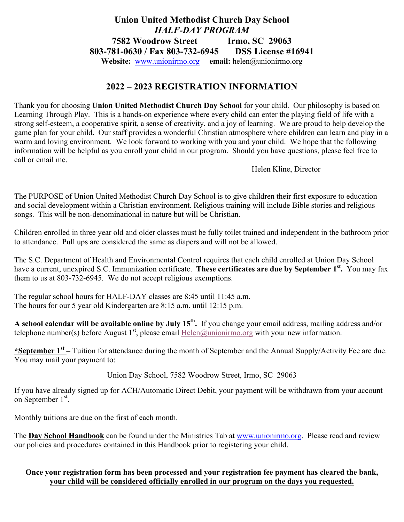## **Union United Methodist Church Day School** *HALF-DAY PROGRAM* **7582 Woodrow Street Irmo, SC 29063 803-781-0630 / Fax 803-732-6945 DSS License #16941 Website:** www.unionirmo.org **email:** helen@unionirmo.org

## **2022 – 2023 REGISTRATION INFORMATION**

Thank you for choosing **Union United Methodist Church Day School** for your child. Our philosophy is based on Learning Through Play. This is a hands-on experience where every child can enter the playing field of life with a strong self-esteem, a cooperative spirit, a sense of creativity, and a joy of learning. We are proud to help develop the game plan for your child. Our staff provides a wonderful Christian atmosphere where children can learn and play in a warm and loving environment. We look forward to working with you and your child. We hope that the following information will be helpful as you enroll your child in our program. Should you have questions, please feel free to call or email me.

Helen Kline, Director

The PURPOSE of Union United Methodist Church Day School is to give children their first exposure to education and social development within a Christian environment. Religious training will include Bible stories and religious songs. This will be non-denominational in nature but will be Christian.

Children enrolled in three year old and older classes must be fully toilet trained and independent in the bathroom prior to attendance. Pull ups are considered the same as diapers and will not be allowed.

The S.C. Department of Health and Environmental Control requires that each child enrolled at Union Day School have a current, unexpired S.C. Immunization certificate. **These certificates are due by September 1st.** You may fax them to us at 803-732-6945. We do not accept religious exemptions.

The regular school hours for HALF-DAY classes are 8:45 until 11:45 a.m. The hours for our 5 year old Kindergarten are 8:15 a.m. until 12:15 p.m.

**A school calendar will be available online by July 15th.** If you change your email address, mailing address and/or telephone number(s) before August  $1<sup>st</sup>$ , please email Helen@unionirmo.org with your new information.

**\*September 1st –** Tuition for attendance during the month of September and the Annual Supply/Activity Fee are due. You may mail your payment to:

Union Day School, 7582 Woodrow Street, Irmo, SC 29063

If you have already signed up for ACH/Automatic Direct Debit, your payment will be withdrawn from your account on September 1<sup>st</sup>.

Monthly tuitions are due on the first of each month.

The **Day School Handbook** can be found under the Ministries Tab at www.unionirmo.org. Please read and review our policies and procedures contained in this Handbook prior to registering your child.

## **Once your registration form has been processed and your registration fee payment has cleared the bank, your child will be considered officially enrolled in our program on the days you requested.**